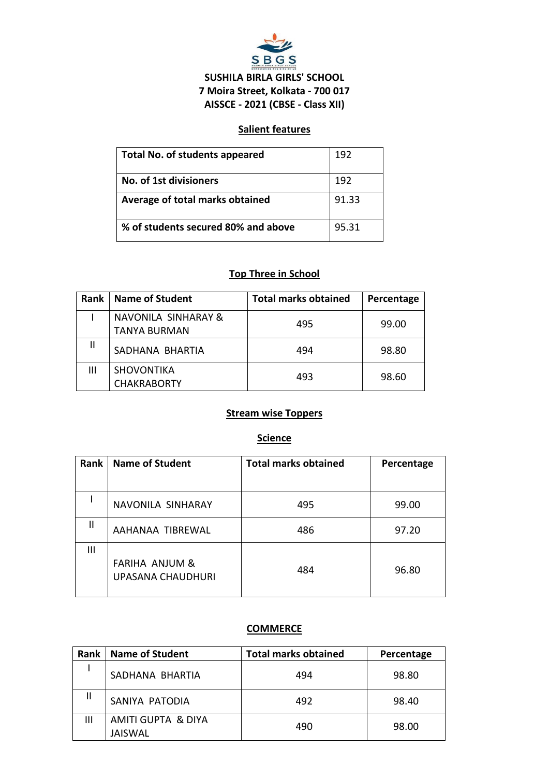

# **SUSHILA BIRLA GIRLS' SCHOOL 7 Moira Street, Kolkata - 700 017 AISSCE - 2021 (CBSE - Class XII)**

# **Salient features**

| <b>Total No. of students appeared</b> | 192   |
|---------------------------------------|-------|
| No. of 1st divisioners                | 192   |
| Average of total marks obtained       | 91.33 |
| % of students secured 80% and above   | 95.31 |

# **Top Three in School**

| Rank | <b>Name of Student</b>                                | <b>Total marks obtained</b> | Percentage |
|------|-------------------------------------------------------|-----------------------------|------------|
|      | <b>NAVONILA SINHARAY &amp;</b><br><b>TANYA BURMAN</b> | 495                         | 99.00      |
| Ш    | SADHANA BHARTIA                                       | 494                         | 98.80      |
| Ш    | <b>SHOVONTIKA</b><br><b>CHAKRABORTY</b>               | 493                         | 98.60      |

# **Stream wise Toppers**

### **Science**

| Rank         | <b>Name of Student</b>                                | <b>Total marks obtained</b> | Percentage |
|--------------|-------------------------------------------------------|-----------------------------|------------|
|              |                                                       |                             |            |
|              | NAVONILA SINHARAY                                     | 495                         | 99.00      |
| $\mathbf{I}$ | AAHANAA TIBREWAL                                      | 486                         | 97.20      |
| Ш            | <b>FARIHA ANJUM &amp;</b><br><b>UPASANA CHAUDHURI</b> | 484                         | 96.80      |

### **COMMERCE**

| Rank | <b>Name of Student</b>               | <b>Total marks obtained</b> | Percentage |
|------|--------------------------------------|-----------------------------|------------|
|      | SADHANA BHARTIA                      | 494                         | 98.80      |
| Ш    | SANIYA PATODIA                       | 492                         | 98.40      |
| Ш    | AMITI GUPTA & DIYA<br><b>JAISWAL</b> | 490                         | 98.00      |